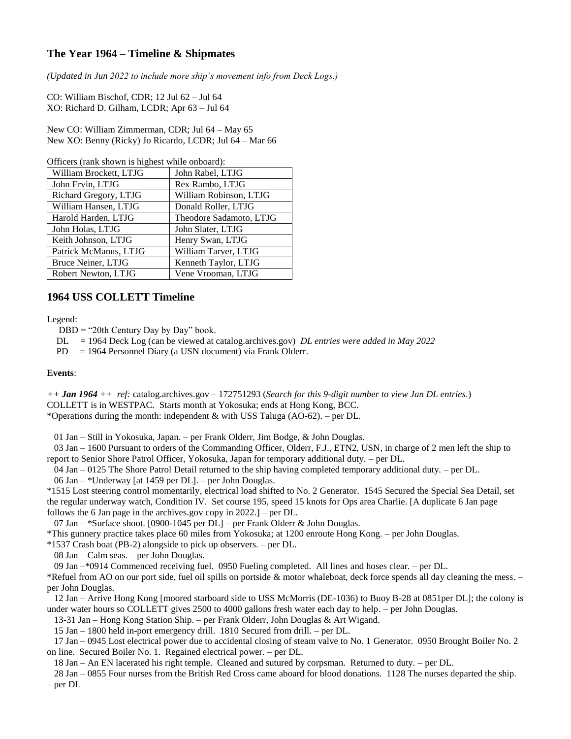## **The Year 1964 – Timeline & Shipmates**

*(Updated in Jun 2022 to include more ship's movement info from Deck Logs.)*

CO: William Bischof, CDR; 12 Jul 62 – Jul 64 XO: Richard D. Gilham, LCDR; Apr 63 – Jul 64

New CO: William Zimmerman, CDR; Jul 64 – May 65 New XO: Benny (Ricky) Jo Ricardo, LCDR; Jul 64 – Mar 66

Officers (rank shown is highest while onboard):

| William Brockett, LTJG | John Rabel, LTJG        |
|------------------------|-------------------------|
| John Ervin, LTJG       | Rex Rambo, LTJG         |
| Richard Gregory, LTJG  | William Robinson, LTJG  |
| William Hansen, LTJG   | Donald Roller, LTJG     |
| Harold Harden, LTJG    | Theodore Sadamoto, LTJG |
| John Holas, LTJG       | John Slater, LTJG       |
| Keith Johnson, LTJG    | Henry Swan, LTJG        |
| Patrick McManus, LTJG  | William Tarver, LTJG    |
| Bruce Neiner, LTJG     | Kenneth Taylor, LTJG    |
| Robert Newton, LTJG    | Vene Vrooman, LTJG      |

## **1964 USS COLLETT Timeline**

Legend:

 $DBD = "20th$  Century Day by Day" book.

DL = 1964 Deck Log (can be viewed at catalog.archives.gov) *DL entries were added in May 2022*

PD = 1964 Personnel Diary (a USN document) via Frank Olderr.

## **Events**:

*++ Jan 1964 ++ ref:* catalog.archives.gov – 172751293 (*Search for this 9-digit number to view Jan DL entries.*) COLLETT is in WESTPAC. Starts month at Yokosuka; ends at Hong Kong, BCC. \*Operations during the month: independent & with USS Taluga (AO-62). – per DL.

01 Jan – Still in Yokosuka, Japan. – per Frank Olderr, Jim Bodge, & John Douglas.

 03 Jan – 1600 Pursuant to orders of the Commanding Officer, Olderr, F.J., ETN2, USN, in charge of 2 men left the ship to report to Senior Shore Patrol Officer, Yokosuka, Japan for temporary additional duty. – per DL.

 04 Jan – 0125 The Shore Patrol Detail returned to the ship having completed temporary additional duty. – per DL. 06 Jan – \*Underway [at 1459 per DL]. – per John Douglas.

\*1515 Lost steering control momentarily, electrical load shifted to No. 2 Generator. 1545 Secured the Special Sea Detail, set the regular underway watch, Condition IV. Set course 195, speed 15 knots for Ops area Charlie. [A duplicate 6 Jan page follows the 6 Jan page in the archives.gov copy in 2022.] – per DL.

07 Jan – \*Surface shoot. [0900-1045 per DL] – per Frank Olderr & John Douglas.

\*This gunnery practice takes place 60 miles from Yokosuka; at 1200 enroute Hong Kong. – per John Douglas.

\*1537 Crash boat (PB-2) alongside to pick up observers. – per DL.

08 Jan – Calm seas. – per John Douglas.

09 Jan –\*0914 Commenced receiving fuel. 0950 Fueling completed. All lines and hoses clear. – per DL.

\*Refuel from AO on our port side, fuel oil spills on portside & motor whaleboat, deck force spends all day cleaning the mess. – per John Douglas.

 12 Jan – Arrive Hong Kong [moored starboard side to USS McMorris (DE-1036) to Buoy B-28 at 0851per DL]; the colony is under water hours so COLLETT gives 2500 to 4000 gallons fresh water each day to help. – per John Douglas.

13-31 Jan – Hong Kong Station Ship. – per Frank Olderr, John Douglas & Art Wigand.

15 Jan – 1800 held in-port emergency drill. 1810 Secured from drill. – per DL.

 17 Jan – 0945 Lost electrical power due to accidental closing of steam valve to No. 1 Generator. 0950 Brought Boiler No. 2 on line. Secured Boiler No. 1. Regained electrical power. – per DL.

18 Jan – An EN lacerated his right temple. Cleaned and sutured by corpsman. Returned to duty. – per DL.

 28 Jan – 0855 Four nurses from the British Red Cross came aboard for blood donations. 1128 The nurses departed the ship. – per DL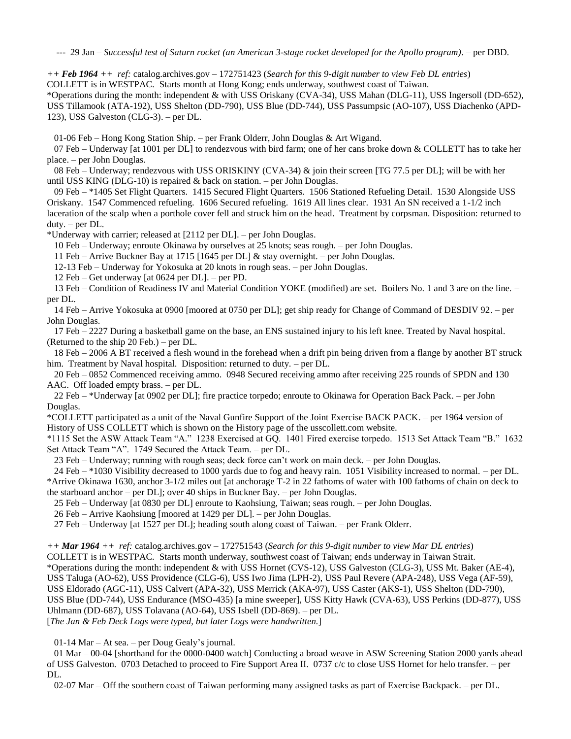--- 29 Jan – *Successful test of Saturn rocket (an American 3-stage rocket developed for the Apollo program)*. – per DBD.

*++ Feb 1964 ++ ref:* catalog.archives.gov – 172751423 (*Search for this 9-digit number to view Feb DL entries*) COLLETT is in WESTPAC. Starts month at Hong Kong; ends underway, southwest coast of Taiwan. \*Operations during the month: independent & with USS Oriskany (CVA-34), USS Mahan (DLG-11), USS Ingersoll (DD-652), USS Tillamook (ATA-192), USS Shelton (DD-790), USS Blue (DD-744), USS Passumpsic (AO-107), USS Diachenko (APD-123), USS Galveston (CLG-3). – per DL.

01-06 Feb – Hong Kong Station Ship. – per Frank Olderr, John Douglas & Art Wigand.

07 Feb – Underway [at 1001 per DL] to rendezvous with bird farm; one of her cans broke down & COLLETT has to take her place. – per John Douglas.

 08 Feb – Underway; rendezvous with USS ORISKINY (CVA-34) & join their screen [TG 77.5 per DL]; will be with her until USS KING (DLG-10) is repaired  $\&$  back on station. – per John Douglas.

 09 Feb – \*1405 Set Flight Quarters. 1415 Secured Flight Quarters. 1506 Stationed Refueling Detail. 1530 Alongside USS Oriskany. 1547 Commenced refueling. 1606 Secured refueling. 1619 All lines clear. 1931 An SN received a 1-1/2 inch laceration of the scalp when a porthole cover fell and struck him on the head. Treatment by corpsman. Disposition: returned to duty. – per DL.

\*Underway with carrier; released at [2112 per DL]. – per John Douglas.

10 Feb – Underway; enroute Okinawa by ourselves at 25 knots; seas rough. – per John Douglas.

11 Feb – Arrive Buckner Bay at 1715 [1645 per DL] & stay overnight. – per John Douglas.

12-13 Feb – Underway for Yokosuka at 20 knots in rough seas. – per John Douglas.

12 Feb – Get underway [at 0624 per DL]. – per PD.

 13 Feb – Condition of Readiness IV and Material Condition YOKE (modified) are set. Boilers No. 1 and 3 are on the line. – per DL.

 14 Feb – Arrive Yokosuka at 0900 [moored at 0750 per DL]; get ship ready for Change of Command of DESDIV 92. – per John Douglas.

 17 Feb – 2227 During a basketball game on the base, an ENS sustained injury to his left knee. Treated by Naval hospital. (Returned to the ship 20 Feb.) – per DL.

 18 Feb – 2006 A BT received a flesh wound in the forehead when a drift pin being driven from a flange by another BT struck him. Treatment by Naval hospital. Disposition: returned to duty. – per DL.

 20 Feb – 0852 Commenced receiving ammo. 0948 Secured receiving ammo after receiving 225 rounds of SPDN and 130 AAC. Off loaded empty brass. – per DL.

 22 Feb – \*Underway [at 0902 per DL]; fire practice torpedo; enroute to Okinawa for Operation Back Pack. – per John Douglas.

\*COLLETT participated as a unit of the Naval Gunfire Support of the Joint Exercise BACK PACK. – per 1964 version of History of USS COLLETT which is shown on the History page of the usscollett.com website.

\*1115 Set the ASW Attack Team "A." 1238 Exercised at GQ. 1401 Fired exercise torpedo. 1513 Set Attack Team "B." 1632 Set Attack Team "A". 1749 Secured the Attack Team. – per DL.

23 Feb – Underway; running with rough seas; deck force can't work on main deck. – per John Douglas.

 24 Feb – \*1030 Visibility decreased to 1000 yards due to fog and heavy rain. 1051 Visibility increased to normal. – per DL. \*Arrive Okinawa 1630, anchor 3-1/2 miles out [at anchorage T-2 in 22 fathoms of water with 100 fathoms of chain on deck to the starboard anchor – per DL]; over 40 ships in Buckner Bay. – per John Douglas.

25 Feb – Underway [at 0830 per DL] enroute to Kaohsiung, Taiwan; seas rough. – per John Douglas.

26 Feb – Arrive Kaohsiung [moored at 1429 per DL]. – per John Douglas.

27 Feb – Underway [at 1527 per DL]; heading south along coast of Taiwan. – per Frank Olderr.

*++ Mar 1964 ++ ref:* catalog.archives.gov – 172751543 (*Search for this 9-digit number to view Mar DL entries*) COLLETT is in WESTPAC. Starts month underway, southwest coast of Taiwan; ends underway in Taiwan Strait.

\*Operations during the month: independent & with USS Hornet (CVS-12), USS Galveston (CLG-3), USS Mt. Baker (AE-4),

USS Taluga (AO-62), USS Providence (CLG-6), USS Iwo Jima (LPH-2), USS Paul Revere (APA-248), USS Vega (AF-59),

USS Eldorado (AGC-11), USS Calvert (APA-32), USS Merrick (AKA-97), USS Caster (AKS-1), USS Shelton (DD-790),

USS Blue (DD-744), USS Endurance (MSO-435) [a mine sweeper], USS Kitty Hawk (CVA-63), USS Perkins (DD-877), USS Uhlmann (DD-687), USS Tolavana (AO-64), USS Isbell (DD-869). – per DL.

[*The Jan & Feb Deck Logs were typed, but later Logs were handwritten.*]

01-14 Mar – At sea. – per Doug Gealy's journal.

 01 Mar – 00-04 [shorthand for the 0000-0400 watch] Conducting a broad weave in ASW Screening Station 2000 yards ahead of USS Galveston. 0703 Detached to proceed to Fire Support Area II. 0737 c/c to close USS Hornet for helo transfer. – per DL.

02-07 Mar – Off the southern coast of Taiwan performing many assigned tasks as part of Exercise Backpack. – per DL.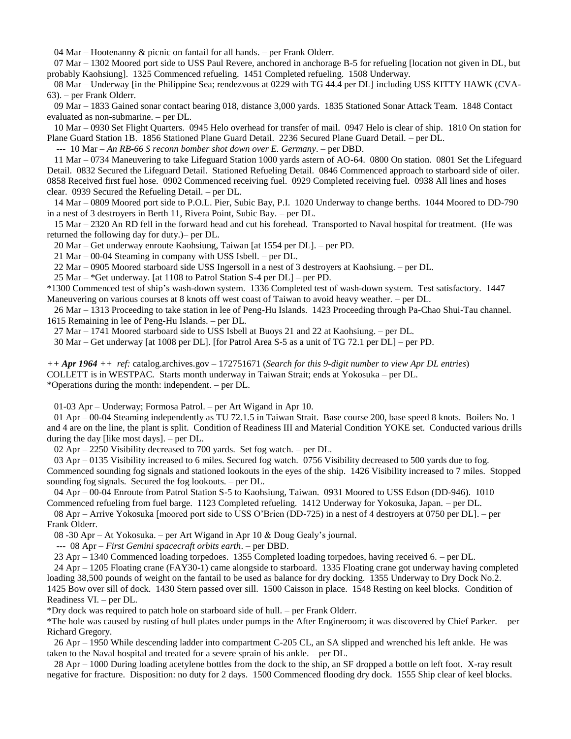04 Mar – Hootenanny & picnic on fantail for all hands. – per Frank Olderr.

 07 Mar – 1302 Moored port side to USS Paul Revere, anchored in anchorage B-5 for refueling [location not given in DL, but probably Kaohsiung]. 1325 Commenced refueling. 1451 Completed refueling. 1508 Underway.

 08 Mar – Underway [in the Philippine Sea; rendezvous at 0229 with TG 44.4 per DL] including USS KITTY HAWK (CVA-63). – per Frank Olderr.

 09 Mar – 1833 Gained sonar contact bearing 018, distance 3,000 yards. 1835 Stationed Sonar Attack Team. 1848 Contact evaluated as non-submarine. – per DL.

 10 Mar – 0930 Set Flight Quarters. 0945 Helo overhead for transfer of mail. 0947 Helo is clear of ship. 1810 On station for Plane Guard Station 1B. 1856 Stationed Plane Guard Detail. 2236 Secured Plane Guard Detail. – per DL.

--- 10 Mar – *An RB-66 S reconn bomber shot down over E. Germany*. – per DBD.

 11 Mar – 0734 Maneuvering to take Lifeguard Station 1000 yards astern of AO-64. 0800 On station. 0801 Set the Lifeguard Detail. 0832 Secured the Lifeguard Detail. Stationed Refueling Detail. 0846 Commenced approach to starboard side of oiler. 0858 Received first fuel hose. 0902 Commenced receiving fuel. 0929 Completed receiving fuel. 0938 All lines and hoses clear. 0939 Secured the Refueling Detail. – per DL.

 14 Mar – 0809 Moored port side to P.O.L. Pier, Subic Bay, P.I. 1020 Underway to change berths. 1044 Moored to DD-790 in a nest of 3 destroyers in Berth 11, Rivera Point, Subic Bay. – per DL.

 15 Mar – 2320 An RD fell in the forward head and cut his forehead. Transported to Naval hospital for treatment. (He was returned the following day for duty.)– per DL.

20 Mar – Get underway enroute Kaohsiung, Taiwan [at 1554 per DL]. – per PD.

21 Mar – 00-04 Steaming in company with USS Isbell. – per DL.

22 Mar – 0905 Moored starboard side USS Ingersoll in a nest of 3 destroyers at Kaohsiung. – per DL.

25 Mar – \*Get underway. [at 1108 to Patrol Station S-4 per DL] – per PD.

\*1300 Commenced test of ship's wash-down system. 1336 Completed test of wash-down system. Test satisfactory. 1447 Maneuvering on various courses at 8 knots off west coast of Taiwan to avoid heavy weather. – per DL.

 26 Mar – 1313 Proceeding to take station in lee of Peng-Hu Islands. 1423 Proceeding through Pa-Chao Shui-Tau channel. 1615 Remaining in lee of Peng-Hu Islands. – per DL.

27 Mar – 1741 Moored starboard side to USS Isbell at Buoys 21 and 22 at Kaohsiung. – per DL.

30 Mar – Get underway [at 1008 per DL]. [for Patrol Area S-5 as a unit of TG 72.1 per DL] – per PD.

*++ Apr 1964 ++ ref:* catalog.archives.gov – 172751671 (*Search for this 9-digit number to view Apr DL entries*) COLLETT is in WESTPAC. Starts month underway in Taiwan Strait; ends at Yokosuka – per DL. \*Operations during the month: independent. – per DL.

01-03 Apr – Underway; Formosa Patrol. – per Art Wigand in Apr 10.

 01 Apr – 00-04 Steaming independently as TU 72.1.5 in Taiwan Strait. Base course 200, base speed 8 knots. Boilers No. 1 and 4 are on the line, the plant is split. Condition of Readiness III and Material Condition YOKE set. Conducted various drills during the day [like most days]. – per DL.

02 Apr – 2250 Visibility decreased to 700 yards. Set fog watch. – per DL.

 03 Apr – 0135 Visibility increased to 6 miles. Secured fog watch. 0756 Visibility decreased to 500 yards due to fog. Commenced sounding fog signals and stationed lookouts in the eyes of the ship. 1426 Visibility increased to 7 miles. Stopped sounding fog signals. Secured the fog lookouts. – per DL.

 04 Apr – 00-04 Enroute from Patrol Station S-5 to Kaohsiung, Taiwan. 0931 Moored to USS Edson (DD-946). 1010 Commenced refueling from fuel barge. 1123 Completed refueling. 1412 Underway for Yokosuka, Japan. – per DL.

 08 Apr – Arrive Yokosuka [moored port side to USS O'Brien (DD-725) in a nest of 4 destroyers at 0750 per DL]. – per Frank Olderr.

08 -30 Apr – At Yokosuka. – per Art Wigand in Apr 10 & Doug Gealy's journal.

--- 08 Apr – *First Gemini spacecraft orbits earth*. – per DBD.

23 Apr – 1340 Commenced loading torpedoes. 1355 Completed loading torpedoes, having received 6. – per DL.

 24 Apr – 1205 Floating crane (FAY30-1) came alongside to starboard. 1335 Floating crane got underway having completed loading 38,500 pounds of weight on the fantail to be used as balance for dry docking. 1355 Underway to Dry Dock No.2.

1425 Bow over sill of dock. 1430 Stern passed over sill. 1500 Caisson in place. 1548 Resting on keel blocks. Condition of Readiness VI. – per DL.

\*Dry dock was required to patch hole on starboard side of hull. – per Frank Olderr.

\*The hole was caused by rusting of hull plates under pumps in the After Engineroom; it was discovered by Chief Parker. – per Richard Gregory.

 26 Apr – 1950 While descending ladder into compartment C-205 CL, an SA slipped and wrenched his left ankle. He was taken to the Naval hospital and treated for a severe sprain of his ankle. – per DL.

 28 Apr – 1000 During loading acetylene bottles from the dock to the ship, an SF dropped a bottle on left foot. X-ray result negative for fracture. Disposition: no duty for 2 days. 1500 Commenced flooding dry dock. 1555 Ship clear of keel blocks.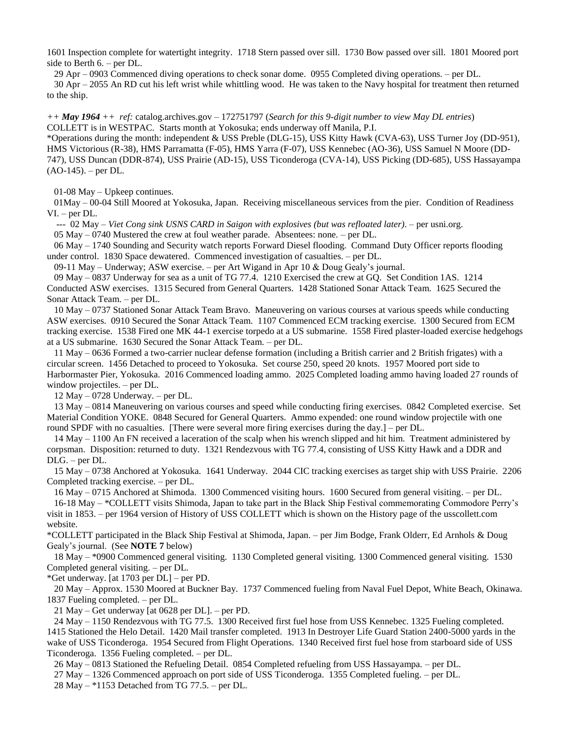1601 Inspection complete for watertight integrity. 1718 Stern passed over sill. 1730 Bow passed over sill. 1801 Moored port side to Berth 6. – per DL.

29 Apr – 0903 Commenced diving operations to check sonar dome. 0955 Completed diving operations. – per DL.

 30 Apr – 2055 An RD cut his left wrist while whittling wood. He was taken to the Navy hospital for treatment then returned to the ship.

*++ May 1964 ++ ref:* catalog.archives.gov – 172751797 (*Search for this 9-digit number to view May DL entries*) COLLETT is in WESTPAC. Starts month at Yokosuka; ends underway off Manila, P.I.

\*Operations during the month: independent & USS Preble (DLG-15), USS Kitty Hawk (CVA-63), USS Turner Joy (DD-951), HMS Victorious (R-38), HMS Parramatta (F-05), HMS Yarra (F-07), USS Kennebec (AO-36), USS Samuel N Moore (DD-747), USS Duncan (DDR-874), USS Prairie (AD-15), USS Ticonderoga (CVA-14), USS Picking (DD-685), USS Hassayampa (AO-145). – per DL.

01-08 May – Upkeep continues.

 01May – 00-04 Still Moored at Yokosuka, Japan. Receiving miscellaneous services from the pier. Condition of Readiness VI. – per DL.

--- 02 May – *Viet Cong sink USNS CARD in Saigon with explosives (but was refloated later)*. – per usni.org.

05 May – 0740 Mustered the crew at foul weather parade. Absentees: none. – per DL.

 06 May – 1740 Sounding and Security watch reports Forward Diesel flooding. Command Duty Officer reports flooding under control. 1830 Space dewatered. Commenced investigation of casualties. – per DL.

09-11 May – Underway; ASW exercise. – per Art Wigand in Apr 10 & Doug Gealy's journal.

 09 May – 0837 Underway for sea as a unit of TG 77.4. 1210 Exercised the crew at GQ. Set Condition 1AS. 1214 Conducted ASW exercises. 1315 Secured from General Quarters. 1428 Stationed Sonar Attack Team. 1625 Secured the Sonar Attack Team. – per DL.

 10 May – 0737 Stationed Sonar Attack Team Bravo. Maneuvering on various courses at various speeds while conducting ASW exercises. 0910 Secured the Sonar Attack Team. 1107 Commenced ECM tracking exercise. 1300 Secured from ECM tracking exercise. 1538 Fired one MK 44-1 exercise torpedo at a US submarine. 1558 Fired plaster-loaded exercise hedgehogs at a US submarine. 1630 Secured the Sonar Attack Team. – per DL.

 11 May – 0636 Formed a two-carrier nuclear defense formation (including a British carrier and 2 British frigates) with a circular screen. 1456 Detached to proceed to Yokosuka. Set course 250, speed 20 knots. 1957 Moored port side to Harbormaster Pier, Yokosuka. 2016 Commenced loading ammo. 2025 Completed loading ammo having loaded 27 rounds of window projectiles. – per DL.

12 May – 0728 Underway. – per DL.

 13 May – 0814 Maneuvering on various courses and speed while conducting firing exercises. 0842 Completed exercise. Set Material Condition YOKE. 0848 Secured for General Quarters. Ammo expended: one round window projectile with one round SPDF with no casualties. [There were several more firing exercises during the day.] – per DL.

 14 May – 1100 An FN received a laceration of the scalp when his wrench slipped and hit him. Treatment administered by corpsman. Disposition: returned to duty. 1321 Rendezvous with TG 77.4, consisting of USS Kitty Hawk and a DDR and DLG. – per DL.

 15 May – 0738 Anchored at Yokosuka. 1641 Underway. 2044 CIC tracking exercises as target ship with USS Prairie. 2206 Completed tracking exercise. – per DL.

 16 May – 0715 Anchored at Shimoda. 1300 Commenced visiting hours. 1600 Secured from general visiting. – per DL. 16-18 May – \*COLLETT visits Shimoda, Japan to take part in the Black Ship Festival commemorating Commodore Perry's visit in 1853. – per 1964 version of History of USS COLLETT which is shown on the History page of the usscollett.com website.

\*COLLETT participated in the Black Ship Festival at Shimoda, Japan. – per Jim Bodge, Frank Olderr, Ed Arnhols & Doug Gealy's journal. (See **NOTE 7** below)

 18 May – \*0900 Commenced general visiting. 1130 Completed general visiting. 1300 Commenced general visiting. 1530 Completed general visiting. – per DL.

\*Get underway. [at 1703 per DL] – per PD.

 20 May – Approx. 1530 Moored at Buckner Bay. 1737 Commenced fueling from Naval Fuel Depot, White Beach, Okinawa. 1837 Fueling completed. – per DL.

21 May – Get underway [at 0628 per DL]. – per PD.

 24 May – 1150 Rendezvous with TG 77.5. 1300 Received first fuel hose from USS Kennebec. 1325 Fueling completed. 1415 Stationed the Helo Detail. 1420 Mail transfer completed. 1913 In Destroyer Life Guard Station 2400-5000 yards in the wake of USS Ticonderoga. 1954 Secured from Flight Operations. 1340 Received first fuel hose from starboard side of USS Ticonderoga. 1356 Fueling completed. – per DL.

26 May – 0813 Stationed the Refueling Detail. 0854 Completed refueling from USS Hassayampa. – per DL.

 27 May – 1326 Commenced approach on port side of USS Ticonderoga. 1355 Completed fueling. – per DL. 28 May – \*1153 Detached from TG 77.5. – per DL.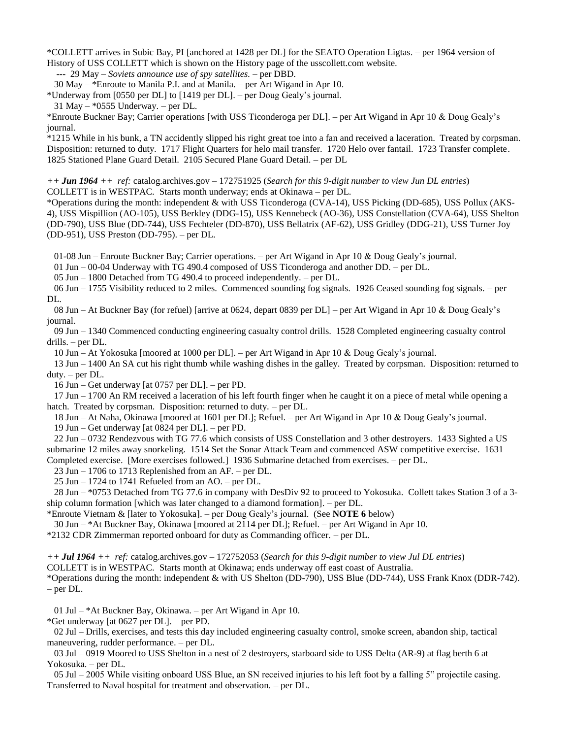\*COLLETT arrives in Subic Bay, PI [anchored at 1428 per DL] for the SEATO Operation Ligtas. – per 1964 version of History of USS COLLETT which is shown on the History page of the usscollett.com website.

--- 29 May *– Soviets announce use of spy satellites.* – per DBD.

30 May – \*Enroute to Manila P.I. and at Manila. – per Art Wigand in Apr 10.

\*Underway from [0550 per DL] to [1419 per DL]. – per Doug Gealy's journal.

\*Enroute Buckner Bay; Carrier operations [with USS Ticonderoga per DL]. – per Art Wigand in Apr 10 & Doug Gealy's journal.

\*1215 While in his bunk, a TN accidently slipped his right great toe into a fan and received a laceration. Treated by corpsman. Disposition: returned to duty. 1717 Flight Quarters for helo mail transfer. 1720 Helo over fantail. 1723 Transfer complete. 1825 Stationed Plane Guard Detail. 2105 Secured Plane Guard Detail. – per DL

*++ Jun 1964 ++ ref:* catalog.archives.gov – 172751925 (*Search for this 9-digit number to view Jun DL entries*) COLLETT is in WESTPAC. Starts month underway; ends at Okinawa – per DL.

\*Operations during the month: independent & with USS Ticonderoga (CVA-14), USS Picking (DD-685), USS Pollux (AKS-4), USS Mispillion (AO-105), USS Berkley (DDG-15), USS Kennebeck (AO-36), USS Constellation (CVA-64), USS Shelton (DD-790), USS Blue (DD-744), USS Fechteler (DD-870), USS Bellatrix (AF-62), USS Gridley (DDG-21), USS Turner Joy (DD-951), USS Preston (DD-795). – per DL.

01-08 Jun – Enroute Buckner Bay; Carrier operations. – per Art Wigand in Apr 10 & Doug Gealy's journal.

01 Jun – 00-04 Underway with TG 490.4 composed of USS Ticonderoga and another DD. – per DL.

05 Jun – 1800 Detached from TG 490.4 to proceed independently. – per DL.

 06 Jun – 1755 Visibility reduced to 2 miles. Commenced sounding fog signals. 1926 Ceased sounding fog signals. – per DL.

 08 Jun – At Buckner Bay (for refuel) [arrive at 0624, depart 0839 per DL] – per Art Wigand in Apr 10 & Doug Gealy's journal.

 09 Jun – 1340 Commenced conducting engineering casualty control drills. 1528 Completed engineering casualty control drills. – per DL.

10 Jun – At Yokosuka [moored at 1000 per DL]. – per Art Wigand in Apr 10 & Doug Gealy's journal.

 13 Jun – 1400 An SA cut his right thumb while washing dishes in the galley. Treated by corpsman. Disposition: returned to duty. – per DL.

16 Jun – Get underway [at 0757 per DL]. – per PD.

 17 Jun – 1700 An RM received a laceration of his left fourth finger when he caught it on a piece of metal while opening a hatch. Treated by corpsman. Disposition: returned to duty. – per DL.

18 Jun – At Naha, Okinawa [moored at 1601 per DL]; Refuel. – per Art Wigand in Apr 10 & Doug Gealy's journal.

19 Jun – Get underway [at 0824 per DL]. – per PD.

 22 Jun – 0732 Rendezvous with TG 77.6 which consists of USS Constellation and 3 other destroyers. 1433 Sighted a US submarine 12 miles away snorkeling. 1514 Set the Sonar Attack Team and commenced ASW competitive exercise. 1631 Completed exercise. [More exercises followed.] 1936 Submarine detached from exercises. – per DL.

23 Jun – 1706 to 1713 Replenished from an AF. – per DL.

25 Jun – 1724 to 1741 Refueled from an AO. – per DL.

 28 Jun – \*0753 Detached from TG 77.6 in company with DesDiv 92 to proceed to Yokosuka. Collett takes Station 3 of a 3 ship column formation [which was later changed to a diamond formation]. – per DL.

\*Enroute Vietnam & [later to Yokosuka]. – per Doug Gealy's journal. (See **NOTE 6** below)

30 Jun – \*At Buckner Bay, Okinawa [moored at 2114 per DL]; Refuel. – per Art Wigand in Apr 10.

\*2132 CDR Zimmerman reported onboard for duty as Commanding officer. – per DL.

*++ Jul 1964 ++ ref:* catalog.archives.gov – 172752053 (*Search for this 9-digit number to view Jul DL entries*)

COLLETT is in WESTPAC. Starts month at Okinawa; ends underway off east coast of Australia.

\*Operations during the month: independent & with US Shelton (DD-790), USS Blue (DD-744), USS Frank Knox (DDR-742). – per DL.

01 Jul – \*At Buckner Bay, Okinawa. – per Art Wigand in Apr 10.

\*Get underway [at 0627 per DL]. – per PD.

 02 Jul – Drills, exercises, and tests this day included engineering casualty control, smoke screen, abandon ship, tactical maneuvering, rudder performance. – per DL.

 03 Jul – 0919 Moored to USS Shelton in a nest of 2 destroyers, starboard side to USS Delta (AR-9) at flag berth 6 at Yokosuka. – per DL.

 05 Jul – 2005 While visiting onboard USS Blue, an SN received injuries to his left foot by a falling 5" projectile casing. Transferred to Naval hospital for treatment and observation. – per DL.

<sup>31</sup> May –  $*0555$  Underway. – per DL.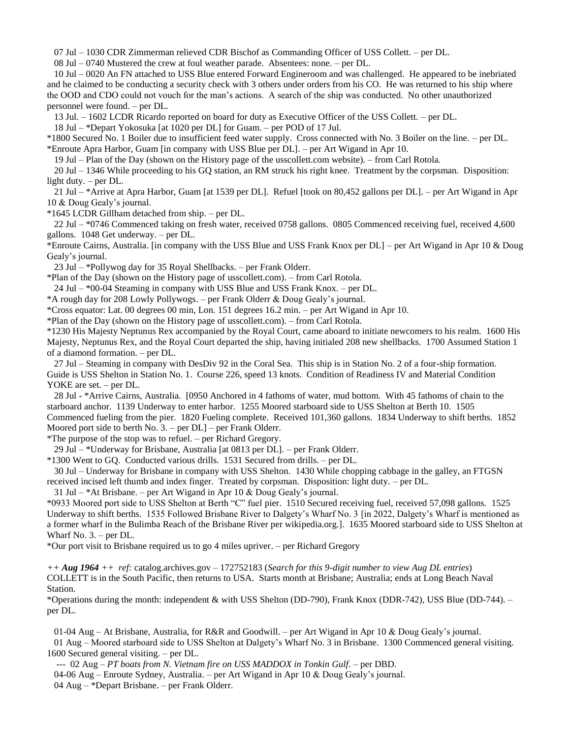07 Jul – 1030 CDR Zimmerman relieved CDR Bischof as Commanding Officer of USS Collett. – per DL.

08 Jul – 0740 Mustered the crew at foul weather parade. Absentees: none. – per DL.

 10 Jul – 0020 An FN attached to USS Blue entered Forward Engineroom and was challenged. He appeared to be inebriated and he claimed to be conducting a security check with 3 others under orders from his CO. He was returned to his ship where the OOD and CDO could not vouch for the man's actions. A search of the ship was conducted. No other unauthorized personnel were found. – per DL.

13 Jul. – 1602 LCDR Ricardo reported on board for duty as Executive Officer of the USS Collett. – per DL.

18 Jul – \*Depart Yokosuka [at 1020 per DL] for Guam. – per POD of 17 Jul.

\*1800 Secured No. 1 Boiler due to insufficient feed water supply. Cross connected with No. 3 Boiler on the line. – per DL. \*Enroute Apra Harbor, Guam [in company with USS Blue per DL]. – per Art Wigand in Apr 10.

19 Jul – Plan of the Day (shown on the History page of the usscollett.com website). – from Carl Rotola.

 20 Jul – 1346 While proceeding to his GQ station, an RM struck his right knee. Treatment by the corpsman. Disposition: light duty. – per DL.

 21 Jul – \*Arrive at Apra Harbor, Guam [at 1539 per DL]. Refuel [took on 80,452 gallons per DL]. – per Art Wigand in Apr 10 & Doug Gealy's journal.

\*1645 LCDR Gillham detached from ship. – per DL.

 22 Jul – \*0746 Commenced taking on fresh water, received 0758 gallons. 0805 Commenced receiving fuel, received 4,600 gallons. 1048 Get underway. – per DL.

\*Enroute Cairns, Australia. [in company with the USS Blue and USS Frank Knox per DL] – per Art Wigand in Apr 10 & Doug Gealy's journal.

23 Jul – \*Pollywog day for 35 Royal Shellbacks. – per Frank Olderr.

\*Plan of the Day (shown on the History page of usscollett.com). – from Carl Rotola.

24 Jul – \*00-04 Steaming in company with USS Blue and USS Frank Knox. – per DL.

\*A rough day for 208 Lowly Pollywogs. – per Frank Olderr & Doug Gealy's journal.

\*Cross equator: Lat. 00 degrees 00 min, Lon. 151 degrees 16.2 min. – per Art Wigand in Apr 10.

\*Plan of the Day (shown on the History page of usscollett.com). – from Carl Rotola.

\*1230 His Majesty Neptunus Rex accompanied by the Royal Court, came aboard to initiate newcomers to his realm. 1600 His Majesty, Neptunus Rex, and the Royal Court departed the ship, having initialed 208 new shellbacks. 1700 Assumed Station 1 of a diamond formation. – per DL.

 27 Jul – Steaming in company with DesDiv 92 in the Coral Sea. This ship is in Station No. 2 of a four-ship formation. Guide is USS Shelton in Station No. 1. Course 226, speed 13 knots. Condition of Readiness IV and Material Condition YOKE are set. – per DL.

 28 Jul - \*Arrive Cairns, Australia. [0950 Anchored in 4 fathoms of water, mud bottom. With 45 fathoms of chain to the starboard anchor. 1139 Underway to enter harbor. 1255 Moored starboard side to USS Shelton at Berth 10. 1505 Commenced fueling from the pier. 1820 Fueling complete. Received 101,360 gallons. 1834 Underway to shift berths. 1852 Moored port side to berth No. 3. – per DL] – per Frank Olderr.

\*The purpose of the stop was to refuel. – per Richard Gregory.

29 Jul – \*Underway for Brisbane, Australia [at 0813 per DL]. – per Frank Olderr.

\*1300 Went to GQ. Conducted various drills. 1531 Secured from drills. – per DL.

 30 Jul – Underway for Brisbane in company with USS Shelton. 1430 While chopping cabbage in the galley, an FTGSN received incised left thumb and index finger. Treated by corpsman. Disposition: light duty. – per DL.

31 Jul – \*At Brisbane. – per Art Wigand in Apr 10 & Doug Gealy's journal.

\*0933 Moored port side to USS Shelton at Berth "C" fuel pier. 1510 Secured receiving fuel, received 57,098 gallons. 1525 Underway to shift berths. 1535 Followed Brisbane River to Dalgety's Wharf No. 3 [in 2022, Dalgety's Wharf is mentioned as a former wharf in the Bulimba Reach of the Brisbane River per wikipedia.org.]. 1635 Moored starboard side to USS Shelton at Wharf No. 3. – per DL.

\*Our port visit to Brisbane required us to go 4 miles upriver. – per Richard Gregory

*++ Aug 1964 ++ ref:* catalog.archives.gov – 172752183 (*Search for this 9-digit number to view Aug DL entries*) COLLETT is in the South Pacific, then returns to USA. Starts month at Brisbane; Australia; ends at Long Beach Naval Station.

\*Operations during the month: independent & with USS Shelton (DD-790), Frank Knox (DDR-742), USS Blue (DD-744). – per DL.

 01-04 Aug – At Brisbane, Australia, for R&R and Goodwill. – per Art Wigand in Apr 10 & Doug Gealy's journal. 01 Aug – Moored starboard side to USS Shelton at Dalgety's Wharf No. 3 in Brisbane. 1300 Commenced general visiting.

1600 Secured general visiting. – per DL.

--- 02 Aug – *PT boats from N. Vietnam fire on USS MADDOX in Tonkin Gulf.* – per DBD.

 04-06 Aug – Enroute Sydney, Australia. – per Art Wigand in Apr 10 & Doug Gealy's journal. 04 Aug – \*Depart Brisbane. – per Frank Olderr.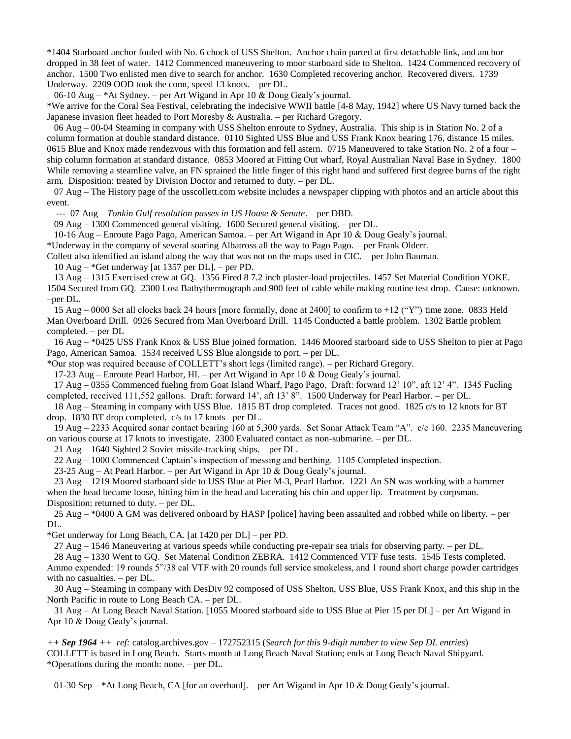\*1404 Starboard anchor fouled with No. 6 chock of USS Shelton. Anchor chain parted at first detachable link, and anchor dropped in 38 feet of water. 1412 Commenced maneuvering to moor starboard side to Shelton. 1424 Commenced recovery of anchor. 1500 Two enlisted men dive to search for anchor. 1630 Completed recovering anchor. Recovered divers. 1739 Underway. 2209 OOD took the conn, speed 13 knots. – per DL.

06-10 Aug – \*At Sydney. – per Art Wigand in Apr 10 & Doug Gealy's journal.

\*We arrive for the Coral Sea Festival, celebrating the indecisive WWII battle [4-8 May, 1942] where US Navy turned back the Japanese invasion fleet headed to Port Moresby & Australia. – per Richard Gregory.

 06 Aug – 00-04 Steaming in company with USS Shelton enroute to Sydney, Australia. This ship is in Station No. 2 of a column formation at double standard distance. 0110 Sighted USS Blue and USS Frank Knox bearing 176, distance 15 miles. 0615 Blue and Knox made rendezvous with this formation and fell astern. 0715 Maneuvered to take Station No. 2 of a four – ship column formation at standard distance. 0853 Moored at Fitting Out wharf, Royal Australian Naval Base in Sydney. 1800 While removing a steamline valve, an FN sprained the little finger of this right hand and suffered first degree burns of the right arm. Disposition: treated by Division Doctor and returned to duty. – per DL.

 07 Aug – The History page of the usscollett.com website includes a newspaper clipping with photos and an article about this event.

--- 07 Aug – *Tonkin Gulf resolution passes in US House & Senate*. – per DBD.

09 Aug – 1300 Commenced general visiting. 1600 Secured general visiting. – per DL.

10-16 Aug – Enroute Pago Pago, American Samoa. – per Art Wigand in Apr 10 & Doug Gealy's journal.

\*Underway in the company of several soaring Albatross all the way to Pago Pago. – per Frank Olderr.

Collett also identified an island along the way that was not on the maps used in CIC. – per John Bauman.

10 Aug – \*Get underway [at 1357 per DL]. – per PD.

 13 Aug – 1315 Exercised crew at GQ. 1356 Fired 8 7.2 inch plaster-load projectiles. 1457 Set Material Condition YOKE. 1504 Secured from GQ. 2300 Lost Bathythermograph and 900 feet of cable while making routine test drop. Cause: unknown. –per DL.

 15 Aug – 0000 Set all clocks back 24 hours [more formally, done at 2400] to confirm to +12 ("Y") time zone. 0833 Held Man Overboard Drill. 0926 Secured from Man Overboard Drill. 1145 Conducted a battle problem. 1302 Battle problem completed. – per DL

 16 Aug – \*0425 USS Frank Knox & USS Blue joined formation. 1446 Moored starboard side to USS Shelton to pier at Pago Pago, American Samoa. 1534 received USS Blue alongside to port. – per DL.

\*Our stop was required because of COLLETT's short legs (limited range). – per Richard Gregory.

17-23 Aug – Enroute Pearl Harbor, HI. – per Art Wigand in Apr 10 & Doug Gealy's journal.

 17 Aug – 0355 Commenced fueling from Goat Island Wharf, Pago Pago. Draft: forward 12' 10", aft 12' 4". 1345 Fueling completed, received 111,552 gallons. Draft: forward 14', aft 13' 8". 1500 Underway for Pearl Harbor. – per DL.

 18 Aug – Steaming in company with USS Blue. 1815 BT drop completed. Traces not good. 1825 c/s to 12 knots for BT drop. 1830 BT drop completed. c/s to 17 knots– per DL.

 19 Aug – 2233 Acquired sonar contact bearing 160 at 5,300 yards. Set Sonar Attack Team "A". c/c 160. 2235 Maneuvering on various course at 17 knots to investigate. 2300 Evaluated contact as non-submarine. – per DL.

21 Aug – 1640 Sighted 2 Soviet missile-tracking ships. – per DL.

22 Aug – 1000 Commenced Captain's inspection of messing and berthing. 1105 Completed inspection.

23-25 Aug – At Pearl Harbor. – per Art Wigand in Apr 10 & Doug Gealy's journal.

 23 Aug – 1219 Moored starboard side to USS Blue at Pier M-3, Pearl Harbor. 1221 An SN was working with a hammer when the head became loose, hitting him in the head and lacerating his chin and upper lip. Treatment by corpsman. Disposition: returned to duty. – per DL.

 25 Aug – \*0400 A GM was delivered onboard by HASP [police] having been assaulted and robbed while on liberty. – per DL.

\*Get underway for Long Beach, CA. [at 1420 per DL] – per PD.

27 Aug – 1546 Maneuvering at various speeds while conducting pre-repair sea trials for observing party. – per DL.

 28 Aug – 1330 Went to GQ. Set Material Condition ZEBRA. 1412 Commenced VTF fuse tests. 1545 Tests completed. Ammo expended: 19 rounds 5"/38 cal VTF with 20 rounds full service smokeless, and 1 round short charge powder cartridges with no casualties. – per DL.

 30 Aug – Steaming in company with DesDiv 92 composed of USS Shelton, USS Blue, USS Frank Knox, and this ship in the North Pacific in route to Long Beach CA. – per DL.

 31 Aug – At Long Beach Naval Station. [1055 Moored starboard side to USS Blue at Pier 15 per DL] – per Art Wigand in Apr 10 & Doug Gealy's journal.

*++ Sep 1964 ++ ref:* catalog.archives.gov – 172752315 (*Search for this 9-digit number to view Sep DL entries*) COLLETT is based in Long Beach. Starts month at Long Beach Naval Station; ends at Long Beach Naval Shipyard. \*Operations during the month: none. – per DL.

01-30 Sep – \*At Long Beach, CA [for an overhaul]. – per Art Wigand in Apr 10 & Doug Gealy's journal.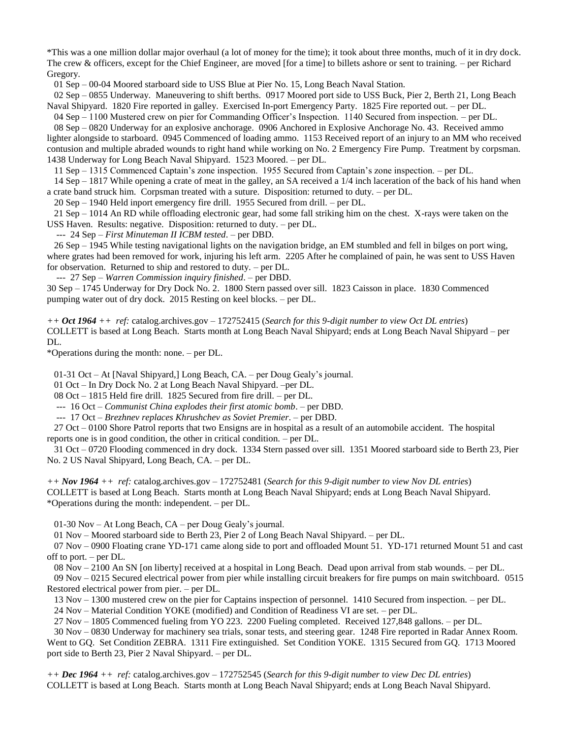\*This was a one million dollar major overhaul (a lot of money for the time); it took about three months, much of it in dry dock. The crew & officers, except for the Chief Engineer, are moved [for a time] to billets ashore or sent to training. – per Richard Gregory.

01 Sep – 00-04 Moored starboard side to USS Blue at Pier No. 15, Long Beach Naval Station.

 02 Sep – 0855 Underway. Maneuvering to shift berths. 0917 Moored port side to USS Buck, Pier 2, Berth 21, Long Beach Naval Shipyard. 1820 Fire reported in galley. Exercised In-port Emergency Party. 1825 Fire reported out. – per DL.

 04 Sep – 1100 Mustered crew on pier for Commanding Officer's Inspection. 1140 Secured from inspection. – per DL. 08 Sep – 0820 Underway for an explosive anchorage. 0906 Anchored in Explosive Anchorage No. 43. Received ammo lighter alongside to starboard. 0945 Commenced of loading ammo. 1153 Received report of an injury to an MM who received contusion and multiple abraded wounds to right hand while working on No. 2 Emergency Fire Pump. Treatment by corpsman. 1438 Underway for Long Beach Naval Shipyard. 1523 Moored. – per DL.

11 Sep – 1315 Commenced Captain's zone inspection. 1955 Secured from Captain's zone inspection. – per DL.

 14 Sep – 1817 While opening a crate of meat in the galley, an SA received a 1/4 inch laceration of the back of his hand when a crate band struck him. Corpsman treated with a suture. Disposition: returned to duty. – per DL.

20 Sep – 1940 Held inport emergency fire drill. 1955 Secured from drill. – per DL.

 21 Sep – 1014 An RD while offloading electronic gear, had some fall striking him on the chest. X-rays were taken on the USS Haven. Results: negative. Disposition: returned to duty. – per DL.

--- 24 Sep – *First Minuteman II ICBM tested*. – per DBD.

 26 Sep – 1945 While testing navigational lights on the navigation bridge, an EM stumbled and fell in bilges on port wing, where grates had been removed for work, injuring his left arm. 2205 After he complained of pain, he was sent to USS Haven for observation. Returned to ship and restored to duty. – per DL.

--- 27 Sep – *Warren Commission inquiry finished*. – per DBD.

30 Sep – 1745 Underway for Dry Dock No. 2. 1800 Stern passed over sill. 1823 Caisson in place. 1830 Commenced pumping water out of dry dock. 2015 Resting on keel blocks. – per DL.

*++ Oct 1964 ++ ref:* catalog.archives.gov – 172752415 (*Search for this 9-digit number to view Oct DL entries*) COLLETT is based at Long Beach. Starts month at Long Beach Naval Shipyard; ends at Long Beach Naval Shipyard – per DL.

\*Operations during the month: none. – per DL.

01-31 Oct – At [Naval Shipyard,] Long Beach, CA. – per Doug Gealy's journal.

01 Oct – In Dry Dock No. 2 at Long Beach Naval Shipyard. –per DL.

08 Oct – 1815 Held fire drill. 1825 Secured from fire drill. – per DL.

--- 16 Oct – *Communist China explodes their first atomic bomb*. – per DBD.

--- 17 Oct – *Brezhnev replaces Khrushchev as Soviet Premier*. – per DBD.

 27 Oct – 0100 Shore Patrol reports that two Ensigns are in hospital as a result of an automobile accident. The hospital reports one is in good condition, the other in critical condition. – per DL.

 31 Oct – 0720 Flooding commenced in dry dock. 1334 Stern passed over sill. 1351 Moored starboard side to Berth 23, Pier No. 2 US Naval Shipyard, Long Beach, CA. – per DL.

*++ Nov 1964 ++ ref:* catalog.archives.gov – 172752481 (*Search for this 9-digit number to view Nov DL entries*) COLLETT is based at Long Beach. Starts month at Long Beach Naval Shipyard; ends at Long Beach Naval Shipyard. \*Operations during the month: independent. – per DL.

01-30 Nov – At Long Beach, CA – per Doug Gealy's journal.

01 Nov – Moored starboard side to Berth 23, Pier 2 of Long Beach Naval Shipyard. – per DL.

 07 Nov – 0900 Floating crane YD-171 came along side to port and offloaded Mount 51. YD-171 returned Mount 51 and cast off to port. – per DL.

08 Nov – 2100 An SN [on liberty] received at a hospital in Long Beach. Dead upon arrival from stab wounds. – per DL.

 09 Nov – 0215 Secured electrical power from pier while installing circuit breakers for fire pumps on main switchboard. 0515 Restored electrical power from pier. – per DL.

13 Nov – 1300 mustered crew on the pier for Captains inspection of personnel. 1410 Secured from inspection. – per DL.

24 Nov – Material Condition YOKE (modified) and Condition of Readiness VI are set. – per DL.

27 Nov – 1805 Commenced fueling from YO 223. 2200 Fueling completed. Received 127,848 gallons. – per DL.

 30 Nov – 0830 Underway for machinery sea trials, sonar tests, and steering gear. 1248 Fire reported in Radar Annex Room. Went to GQ. Set Condition ZEBRA. 1311 Fire extinguished. Set Condition YOKE. 1315 Secured from GQ. 1713 Moored port side to Berth 23, Pier 2 Naval Shipyard. – per DL.

*++ Dec 1964 ++ ref:* catalog.archives.gov – 172752545 (*Search for this 9-digit number to view Dec DL entries*) COLLETT is based at Long Beach. Starts month at Long Beach Naval Shipyard; ends at Long Beach Naval Shipyard.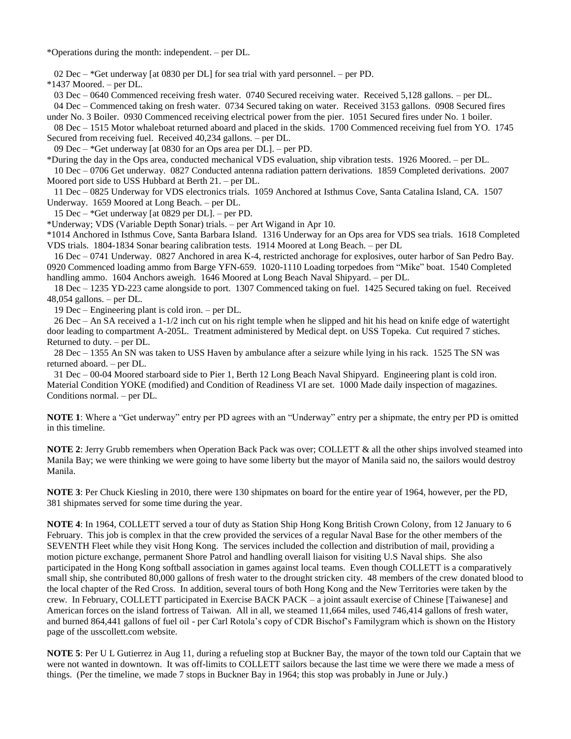\*Operations during the month: independent. – per DL.

02 Dec – \*Get underway [at 0830 per DL] for sea trial with yard personnel. – per PD.

\*1437 Moored. – per DL.

 03 Dec – 0640 Commenced receiving fresh water. 0740 Secured receiving water. Received 5,128 gallons. – per DL. 04 Dec – Commenced taking on fresh water. 0734 Secured taking on water. Received 3153 gallons. 0908 Secured fires

under No. 3 Boiler. 0930 Commenced receiving electrical power from the pier. 1051 Secured fires under No. 1 boiler.

 08 Dec – 1515 Motor whaleboat returned aboard and placed in the skids. 1700 Commenced receiving fuel from YO. 1745 Secured from receiving fuel. Received 40,234 gallons. – per DL.

09 Dec – \*Get underway [at 0830 for an Ops area per DL]. – per PD.

\*During the day in the Ops area, conducted mechanical VDS evaluation, ship vibration tests. 1926 Moored. – per DL. 10 Dec – 0706 Get underway. 0827 Conducted antenna radiation pattern derivations. 1859 Completed derivations. 2007 Moored port side to USS Hubbard at Berth 21. – per DL.

 11 Dec – 0825 Underway for VDS electronics trials. 1059 Anchored at Isthmus Cove, Santa Catalina Island, CA. 1507 Underway. 1659 Moored at Long Beach. – per DL.

15 Dec – \*Get underway [at 0829 per DL]. – per PD.

\*Underway; VDS (Variable Depth Sonar) trials. – per Art Wigand in Apr 10.

\*1014 Anchored in Isthmus Cove, Santa Barbara Island. 1316 Underway for an Ops area for VDS sea trials. 1618 Completed VDS trials. 1804-1834 Sonar bearing calibration tests. 1914 Moored at Long Beach. – per DL

 16 Dec – 0741 Underway. 0827 Anchored in area K-4, restricted anchorage for explosives, outer harbor of San Pedro Bay. 0920 Commenced loading ammo from Barge YFN-659. 1020-1110 Loading torpedoes from "Mike" boat. 1540 Completed handling ammo. 1604 Anchors aweigh. 1646 Moored at Long Beach Naval Shipyard. – per DL.

 18 Dec – 1235 YD-223 came alongside to port. 1307 Commenced taking on fuel. 1425 Secured taking on fuel. Received 48,054 gallons. – per DL.

19 Dec – Engineering plant is cold iron. – per DL.

 26 Dec – An SA received a 1-1/2 inch cut on his right temple when he slipped and hit his head on knife edge of watertight door leading to compartment A-205L. Treatment administered by Medical dept. on USS Topeka. Cut required 7 stiches. Returned to duty. – per DL.

 28 Dec – 1355 An SN was taken to USS Haven by ambulance after a seizure while lying in his rack. 1525 The SN was returned aboard. – per DL.

 31 Dec – 00-04 Moored starboard side to Pier 1, Berth 12 Long Beach Naval Shipyard. Engineering plant is cold iron. Material Condition YOKE (modified) and Condition of Readiness VI are set. 1000 Made daily inspection of magazines. Conditions normal. – per DL.

**NOTE 1**: Where a "Get underway" entry per PD agrees with an "Underway" entry per a shipmate, the entry per PD is omitted in this timeline.

**NOTE 2**: Jerry Grubb remembers when Operation Back Pack was over; COLLETT & all the other ships involved steamed into Manila Bay; we were thinking we were going to have some liberty but the mayor of Manila said no, the sailors would destroy Manila.

**NOTE 3**: Per Chuck Kiesling in 2010, there were 130 shipmates on board for the entire year of 1964, however, per the PD, 381 shipmates served for some time during the year.

**NOTE 4**: In 1964, COLLETT served a tour of duty as Station Ship Hong Kong British Crown Colony, from 12 January to 6 February. This job is complex in that the crew provided the services of a regular Naval Base for the other members of the SEVENTH Fleet while they visit Hong Kong. The services included the collection and distribution of mail, providing a motion picture exchange, permanent Shore Patrol and handling overall liaison for visiting U.S Naval ships. She also participated in the Hong Kong softball association in games against local teams. Even though COLLETT is a comparatively small ship, she contributed 80,000 gallons of fresh water to the drought stricken city. 48 members of the crew donated blood to the local chapter of the Red Cross. In addition, several tours of both Hong Kong and the New Territories were taken by the crew. In February, COLLETT participated in Exercise BACK PACK – a joint assault exercise of Chinese [Taiwanese] and American forces on the island fortress of Taiwan. All in all, we steamed 11,664 miles, used 746,414 gallons of fresh water, and burned 864,441 gallons of fuel oil - per Carl Rotola's copy of CDR Bischof's Familygram which is shown on the History page of the usscollett.com website.

**NOTE 5**: Per U L Gutierrez in Aug 11, during a refueling stop at Buckner Bay, the mayor of the town told our Captain that we were not wanted in downtown. It was off-limits to COLLETT sailors because the last time we were there we made a mess of things. (Per the timeline, we made 7 stops in Buckner Bay in 1964; this stop was probably in June or July.)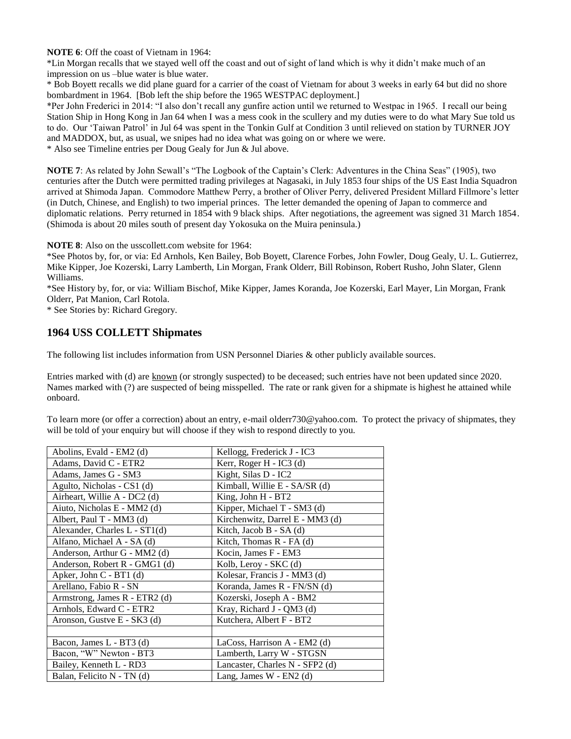**NOTE 6**: Off the coast of Vietnam in 1964:

\*Lin Morgan recalls that we stayed well off the coast and out of sight of land which is why it didn't make much of an impression on us –blue water is blue water.

\* Bob Boyett recalls we did plane guard for a carrier of the coast of Vietnam for about 3 weeks in early 64 but did no shore bombardment in 1964. [Bob left the ship before the 1965 WESTPAC deployment.]

\*Per John Frederici in 2014: "I also don't recall any gunfire action until we returned to Westpac in 1965. I recall our being Station Ship in Hong Kong in Jan 64 when I was a mess cook in the scullery and my duties were to do what Mary Sue told us to do. Our 'Taiwan Patrol' in Jul 64 was spent in the Tonkin Gulf at Condition 3 until relieved on station by TURNER JOY and MADDOX, but, as usual, we snipes had no idea what was going on or where we were.

\* Also see Timeline entries per Doug Gealy for Jun & Jul above.

**NOTE 7**: As related by John Sewall's "The Logbook of the Captain's Clerk: Adventures in the China Seas" (1905), two centuries after the Dutch were permitted trading privileges at Nagasaki, in July 1853 four ships of the US East India Squadron arrived at Shimoda Japan. Commodore Matthew Perry, a brother of Oliver Perry, delivered President Millard Fillmore's letter (in Dutch, Chinese, and English) to two imperial princes. The letter demanded the opening of Japan to commerce and diplomatic relations. Perry returned in 1854 with 9 black ships. After negotiations, the agreement was signed 31 March 1854. (Shimoda is about 20 miles south of present day Yokosuka on the Muira peninsula.)

**NOTE 8**: Also on the usscollett.com website for 1964:

\*See Photos by, for, or via: Ed Arnhols, Ken Bailey, Bob Boyett, Clarence Forbes, John Fowler, Doug Gealy, U. L. Gutierrez, Mike Kipper, Joe Kozerski, Larry Lamberth, Lin Morgan, Frank Olderr, Bill Robinson, Robert Rusho, John Slater, Glenn Williams.

\*See History by, for, or via: William Bischof, Mike Kipper, James Koranda, Joe Kozerski, Earl Mayer, Lin Morgan, Frank Olderr, Pat Manion, Carl Rotola.

\* See Stories by: Richard Gregory.

## **1964 USS COLLETT Shipmates**

The following list includes information from USN Personnel Diaries & other publicly available sources.

Entries marked with (d) are known (or strongly suspected) to be deceased; such entries have not been updated since 2020. Names marked with (?) are suspected of being misspelled. The rate or rank given for a shipmate is highest he attained while onboard.

To learn more (or offer a correction) about an entry, e-mail olderr730@yahoo.com. To protect the privacy of shipmates, they will be told of your enquiry but will choose if they wish to respond directly to you.

| Abolins, Evald - EM2 (d)        | Kellogg, Frederick J - IC3      |
|---------------------------------|---------------------------------|
| Adams, David C - ETR2           | Kerr, Roger H - IC3 (d)         |
| Adams, James G - SM3            | Kight, Silas D - IC2            |
| Agulto, Nicholas - CS1 (d)      | Kimball, Willie E - SA/SR (d)   |
| Airheart, Willie A - DC2 (d)    | King, John H - BT2              |
| Aiuto, Nicholas E - MM2 (d)     | Kipper, Michael T - SM3 (d)     |
| Albert, Paul T - MM3 (d)        | Kirchenwitz, Darrel E - MM3 (d) |
| Alexander, Charles $L - ST1(d)$ | Kitch, Jacob B - SA (d)         |
| Alfano, Michael A - SA (d)      | Kitch, Thomas $R$ - FA (d)      |
| Anderson, Arthur G - MM2 (d)    | Kocin, James F - EM3            |
| Anderson, Robert R - GMG1 (d)   | Kolb, Leroy - SKC (d)           |
| Apker, John $C - BT1$ (d)       | Kolesar, Francis J - MM3 (d)    |
| Arellano, Fabio R - SN          | Koranda, James R - FN/SN (d)    |
| Armstrong, James R - ETR2 (d)   | Kozerski, Joseph A - BM2        |
| Arnhols, Edward C - ETR2        | Kray, Richard J - QM3 (d)       |
| Aronson, Gustve E - SK3 (d)     | Kutchera, Albert F - BT2        |
|                                 |                                 |
| Bacon, James L - BT3 (d)        | LaCoss, Harrison A - EM2 (d)    |
| Bacon, "W" Newton - BT3         | Lamberth, Larry W - STGSN       |
| Bailey, Kenneth L - RD3         | Lancaster, Charles N - SFP2 (d) |
| Balan, Felicito N - TN (d)      | Lang, James W - EN2 (d)         |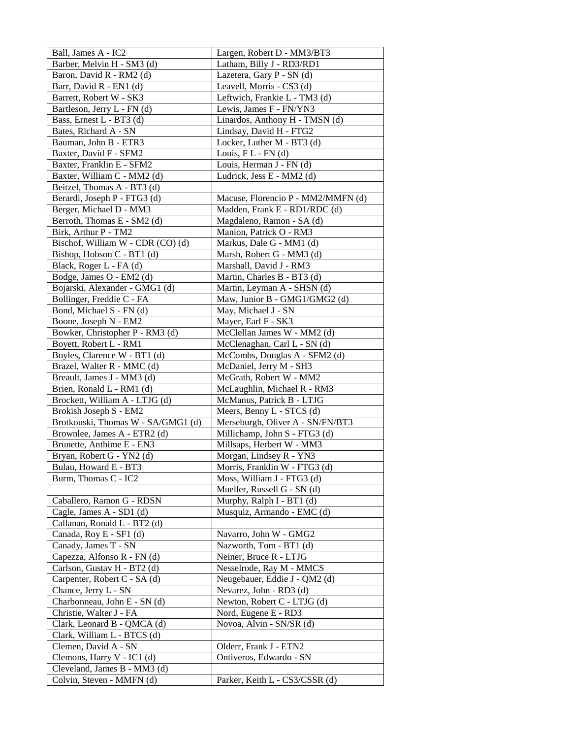| Ball, James A - IC2                | Largen, Robert D - MM3/BT3         |
|------------------------------------|------------------------------------|
| Barber, Melvin H - SM3 (d)         | Latham, Billy J - RD3/RD1          |
| Baron, David R - RM2 (d)           | Lazetera, Gary P - SN (d)          |
| Barr, David R - EN1 (d)            | Leavell, Morris - CS3 (d)          |
| Barrett, Robert W - SK3            | Leftwich, Frankie L - TM3 (d)      |
| Bartleson, Jerry L - FN (d)        | Lewis, James F - FN/YN3            |
| Bass, Ernest L - BT3 (d)           | Linardos, Anthony H - TMSN (d)     |
| Bates, Richard A - SN              | Lindsay, David H - FTG2            |
| Bauman, John B - ETR3              | Locker, Luther M - BT3 (d)         |
| Baxter, David F - SFM2             | Louis, $FL$ - $FN$ (d)             |
| Baxter, Franklin E - SFM2          | Louis, Herman J - FN (d)           |
| Baxter, William C - MM2 (d)        | Ludrick, Jess E - MM2 (d)          |
| Beitzel, Thomas A - BT3 (d)        |                                    |
| Berardi, Joseph P - FTG3 (d)       | Macuse, Florencio P - MM2/MMFN (d) |
| Berger, Michael D - MM3            | Madden, Frank E - RD1/RDC (d)      |
| Berroth, Thomas E - SM2 (d)        | Magdaleno, Ramon - SA (d)          |
| Birk, Arthur P - TM2               | Manion, Patrick O - RM3            |
| Bischof, William W - CDR (CO) (d)  | Markus, Dale G - MM1 (d)           |
| Bishop, Hobson C - BT1 (d)         | Marsh, Robert G - MM3 (d)          |
| Black, Roger L - FA (d)            | Marshall, David J - RM3            |
| Bodge, James O - EM2 (d)           | Martin, Charles B - BT3 (d)        |
| Bojarski, Alexander - GMG1 (d)     | Martin, Leyman A - SHSN (d)        |
| Bollinger, Freddie C - FA          | Maw, Junior B - GMG1/GMG2 (d)      |
| Bond, Michael S - FN (d)           | May, Michael J - SN                |
| Boone, Joseph N - EM2              | Mayer, Earl F - SK3                |
| Bowker, Christopher P - RM3 (d)    | McClellan James W - MM2 (d)        |
| Boyett, Robert L - RM1             | McClenaghan, Carl L - SN (d)       |
| Boyles, Clarence W - BT1 (d)       | McCombs, Douglas A - SFM2 (d)      |
| Brazel, Walter R - MMC (d)         | McDaniel, Jerry M - SH3            |
| Breault, James J - MM3 (d)         | McGrath, Robert W - MM2            |
| Brien, Ronald L - RM1 (d)          | McLaughlin, Michael R - RM3        |
| Brockett, William A - LTJG (d)     | McManus, Patrick B - LTJG          |
| Brokish Joseph S - EM2             | Meers, Benny L - STCS (d)          |
| Brotkouski, Thomas W - SA/GMG1 (d) | Merseburgh, Oliver A - SN/FN/BT3   |
| Brownlee, James A - ETR2 (d)       | Millichamp, John S - FTG3 (d)      |
| Brunette, Anthime E - EN3          | Millsaps, Herbert W - MM3          |
| Bryan, Robert G - YN2 (d)          | Morgan, Lindsey R - YN3            |
| Bulau, Howard E - BT3              | Morris, Franklin W - FTG3 (d)      |
| Burm, Thomas C - IC2               | Moss, William J - FTG3 (d)         |
|                                    | Mueller, Russell G - SN (d)        |
| Caballero, Ramon G - RDSN          | Murphy, Ralph I - BT1 (d)          |
| Cagle, James A - SD1 (d)           | Musquiz, Armando - EMC (d)         |
| Callanan, Ronald L - BT2 (d)       |                                    |
| Canada, Roy E - SF1 (d)            | Navarro, John W - GMG2             |
| Canady, James T - SN               | Nazworth, Tom - BT1 (d)            |
| Capezza, Alfonso R - FN (d)        | Neiner, Bruce R - LTJG             |
| Carlson, Gustav H - BT2 (d)        | Nesselrode, Ray M - MMCS           |
| Carpenter, Robert C - SA (d)       | Neugebauer, Eddie J - QM2 (d)      |
| Chance, Jerry L - SN               | Nevarez, John - RD3 (d)            |
| Charbonneau, John E - SN (d)       | Newton, Robert C - LTJG (d)        |
| Christie, Walter J - FA            | Nord, Eugene E - RD3               |
| Clark, Leonard B - QMCA (d)        | Novoa, Alvin - SN/SR (d)           |
| Clark, William L - BTCS (d)        |                                    |
| Clemen, David A - SN               | Olderr, Frank J - ETN2             |
| Clemons, Harry V - IC1 (d)         | Ontiveros, Edwardo - SN            |
| Cleveland, James B - MM3 (d)       |                                    |
| Colvin, Steven - MMFN (d)          | Parker, Keith L - CS3/CSSR (d)     |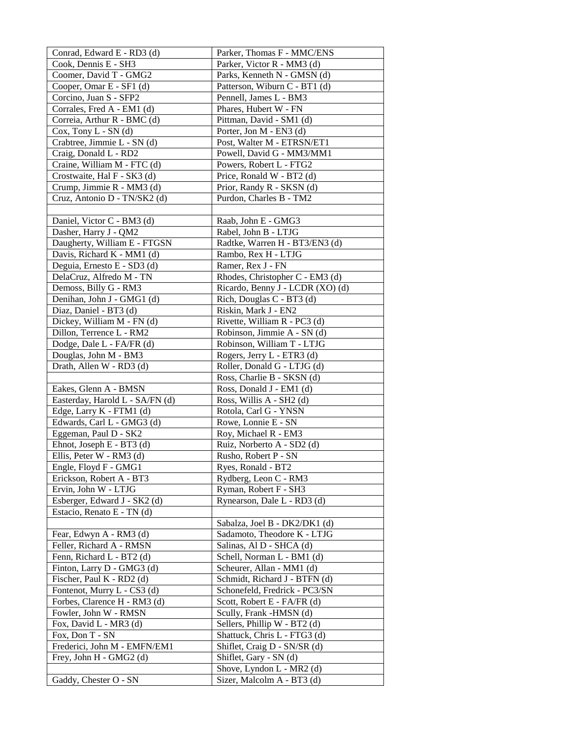| Conrad, Edward E - RD3 (d)      | Parker, Thomas F - MMC/ENS                             |
|---------------------------------|--------------------------------------------------------|
| Cook, Dennis E - SH3            | Parker, Victor R - MM3 (d)                             |
| Coomer, David T - GMG2          | Parks, Kenneth N - GMSN (d)                            |
| Cooper, Omar E - SF1 (d)        | Patterson, Wiburn C - BT1 (d)                          |
| Corcino, Juan S - SFP2          | Pennell, James L - BM3                                 |
| Corrales, Fred A - EM1 (d)      | Phares, Hubert W - FN                                  |
| Correia, Arthur R - BMC (d)     | Pittman, David - SM1 (d)                               |
| $Cox$ , Tony $L - SN$ (d)       | Porter, Jon M - EN3 (d)                                |
| Crabtree, Jimmie L - SN (d)     | Post, Walter M - ETRSN/ET1                             |
| Craig, Donald L - RD2           | Powell, David G - MM3/MM1                              |
| Craine, William M - FTC (d)     | Powers, Robert L - FTG2                                |
| Crostwaite, Hal F - SK3 (d)     | Price, Ronald W - BT2 (d)                              |
| Crump, Jimmie R - MM3 (d)       | Prior, Randy R - SKSN (d)                              |
| Cruz, Antonio D - TN/SK2 (d)    | Purdon, Charles B - TM2                                |
|                                 |                                                        |
| Daniel, Victor C - BM3 (d)      | Raab, John E - GMG3                                    |
| Dasher, Harry J - QM2           | Rabel, John B - LTJG                                   |
| Daugherty, William E - FTGSN    | Radtke, Warren H - BT3/EN3 (d)                         |
| Davis, Richard K - MM1 (d)      | Rambo, Rex H - LTJG                                    |
| Deguia, Ernesto E - SD3 (d)     | Ramer, Rex J - FN                                      |
| DelaCruz, Alfredo M - TN        | Rhodes, Christopher C - EM3 (d)                        |
| Demoss, Billy G - RM3           | Ricardo, Benny J - LCDR (XO) (d)                       |
| Denihan, John J - GMG1 (d)      | Rich, Douglas C - BT3 (d)                              |
| Diaz, Daniel - BT3 (d)          | Riskin, Mark J - EN2                                   |
| Dickey, William M - FN (d)      | Rivette, William R - PC3 (d)                           |
| Dillon, Terrence L - RM2        | Robinson, Jimmie A - SN (d)                            |
| Dodge, Dale L - FA/FR (d)       | Robinson, William T - LTJG                             |
| Douglas, John M - BM3           | Rogers, Jerry L - ETR3 (d)                             |
| Drath, Allen W - RD3 (d)        | Roller, Donald G - LTJG (d)                            |
|                                 | Ross, Charlie B - SKSN (d)                             |
| Eakes, Glenn A - BMSN           | Ross, Donald J - EM1 (d)                               |
| Easterday, Harold L - SA/FN (d) | Ross, Willis A - SH2 (d)                               |
| Edge, Larry K - FTM1 (d)        | Rotola, Carl G - YNSN                                  |
| Edwards, Carl L - GMG3 (d)      | Rowe, Lonnie E - SN                                    |
| Eggeman, Paul D - SK2           | Roy, Michael R - EM3                                   |
| Ehnot, Joseph E - BT3 (d)       | Ruiz, Norberto A - SD2 (d)                             |
| Ellis, Peter W - RM3 (d)        | Rusho, Robert P - SN                                   |
| Engle, Floyd F - GMG1           | Ryes, Ronald - BT2                                     |
| Erickson, Robert A - BT3        | Rydberg, Leon C - RM3                                  |
| Ervin, John W - LTJG            | Ryman, Robert F - SH3                                  |
| Esberger, Edward J - SK2 (d)    | Rynearson, Dale L - RD3 (d)                            |
| Estacio, Renato E - TN (d)      |                                                        |
|                                 | Sabalza, Joel B - DK2/DK1 (d)                          |
| Fear, Edwyn A - RM3 (d)         | Sadamoto, Theodore K - LTJG                            |
| Feller, Richard A - RMSN        | Salinas, Al D - SHCA (d)                               |
| Fenn, Richard L - BT2 (d)       | Schell, Norman L - BM1 (d)                             |
| Finton, Larry D - GMG3 (d)      | Scheurer, Allan - MM1 (d)                              |
| Fischer, Paul K - RD2 (d)       | Schmidt, Richard J - BTFN (d)                          |
| Fontenot, Murry L - CS3 (d)     | Schonefeld, Fredrick - PC3/SN                          |
| Forbes, Clarence H - RM3 (d)    | Scott, Robert E - FA/FR (d)                            |
| Fowler, John W - RMSN           | Scully, Frank -HMSN (d)                                |
| Fox, David L - MR3 (d)          | Sellers, Phillip W - BT2 (d)                           |
| Fox, Don T - SN                 | Shattuck, Chris L - FTG3 (d)                           |
| Frederici, John M - EMFN/EM1    | Shiflet, Craig D - SN/SR (d)<br>Shiflet, Gary - SN (d) |
| Frey, John H - GMG2 (d)         | Shove, Lyndon L - MR2 (d)                              |
| Gaddy, Chester O - SN           | Sizer, Malcolm A - BT3 (d)                             |
|                                 |                                                        |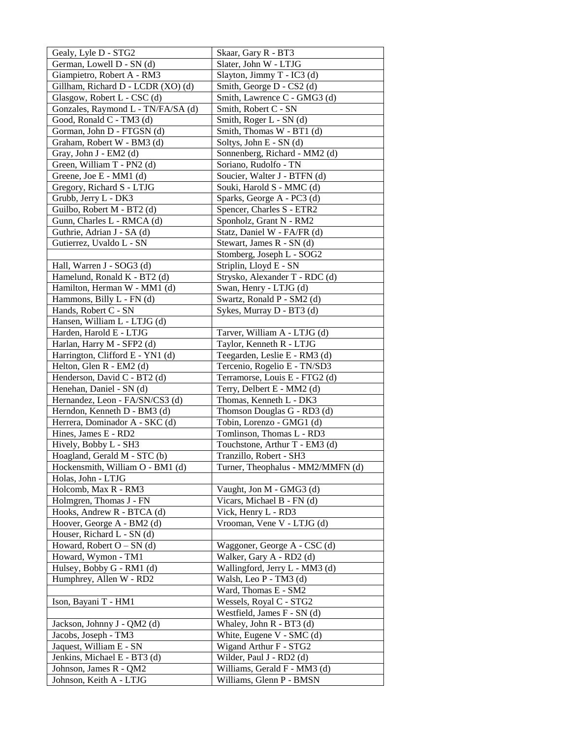| Gealy, Lyle D - STG2               | Skaar, Gary R - BT3               |
|------------------------------------|-----------------------------------|
| German, Lowell D - SN (d)          | Slater, John W - LTJG             |
| Giampietro, Robert A - RM3         | Slayton, Jimmy T - IC3 (d)        |
| Gillham, Richard D - LCDR (XO) (d) | Smith, George D - CS2 (d)         |
| Glasgow, Robert L - CSC (d)        | Smith, Lawrence C - GMG3 (d)      |
| Gonzales, Raymond L - TN/FA/SA (d) | Smith, Robert C - SN              |
| Good, Ronald C - TM3 (d)           | Smith, Roger L - SN (d)           |
| Gorman, John D - FTGSN (d)         | Smith, Thomas W - BT1 (d)         |
| Graham, Robert W - BM3 (d)         | Soltys, John E - SN (d)           |
| Gray, John J - EM2 (d)             | Sonnenberg, Richard - MM2 (d)     |
| Green, William T - PN2 (d)         | Soriano, Rudolfo - TN             |
| Greene, Joe E - MM1 (d)            | Soucier, Walter J - BTFN (d)      |
| Gregory, Richard S - LTJG          | Souki, Harold S - MMC (d)         |
| Grubb, Jerry L - DK3               | Sparks, George A - PC3 (d)        |
| Guilbo, Robert M - BT2 (d)         | Spencer, Charles S - ETR2         |
| Gunn, Charles L - RMCA (d)         | Sponholz, Grant N - RM2           |
| Guthrie, Adrian J - SA (d)         | Statz, Daniel W - FA/FR (d)       |
| Gutierrez, Uvaldo L - SN           | Stewart, James R - SN (d)         |
|                                    | Stomberg, Joseph L - SOG2         |
| Hall, Warren J - SOG3 (d)          | Striplin, Lloyd E - SN            |
| Hamelund, Ronald K - BT2 (d)       | Strysko, Alexander T - RDC (d)    |
| Hamilton, Herman W - MM1 (d)       | Swan, Henry - LTJG (d)            |
| Hammons, Billy L - FN (d)          | Swartz, Ronald P - SM2 (d)        |
| Hands, Robert C - SN               | Sykes, Murray D - BT3 (d)         |
| Hansen, William L - LTJG (d)       |                                   |
| Harden, Harold E - LTJG            | Tarver, William A - LTJG (d)      |
| Harlan, Harry M - SFP2 (d)         | Taylor, Kenneth R - LTJG          |
| Harrington, Clifford E - YN1 (d)   | Teegarden, Leslie E - RM3 (d)     |
| Helton, Glen R - EM2 (d)           | Tercenio, Rogelio E - TN/SD3      |
| Henderson, David C - BT2 (d)       | Terramorse, Louis E - FTG2 (d)    |
| Henehan, Daniel - SN (d)           | Terry, Delbert E - MM2 (d)        |
| Hernandez, Leon - FA/SN/CS3 (d)    | Thomas, Kenneth L - DK3           |
| Herndon, Kenneth D - BM3 (d)       | Thomson Douglas G - RD3 (d)       |
| Herrera, Dominador A - SKC (d)     | Tobin, Lorenzo - GMG1 (d)         |
| Hines, James E - RD2               | Tomlinson, Thomas L - RD3         |
| Hively, Bobby L - SH3              | Touchstone, Arthur T - EM3 (d)    |
| Hoagland, Gerald M - STC (b)       | Tranzillo, Robert - SH3           |
| Hockensmith, William O - BM1 (d)   | Turner, Theophalus - MM2/MMFN (d) |
| Holas, John - LTJG                 |                                   |
| Holcomb, Max R - RM3               | Vaught, Jon M - GMG3 (d)          |
| Holmgren, Thomas J - FN            | Vicars, Michael B - FN (d)        |
| Hooks, Andrew R - BTCA (d)         | Vick, Henry L - RD3               |
| Hoover, George A - BM2 (d)         | Vrooman, Vene V - LTJG (d)        |
| Houser, Richard L - SN (d)         |                                   |
| Howard, Robert $O - SN$ (d)        | Waggoner, George A - CSC (d)      |
| Howard, Wymon - TM1                | Walker, Gary A - RD2 (d)          |
| Hulsey, Bobby G - RM1 (d)          | Wallingford, Jerry L - MM3 (d)    |
| Humphrey, Allen W - RD2            | Walsh, Leo P - TM3 (d)            |
|                                    | Ward, Thomas E - SM2              |
| Ison, Bayani T - HM1               | Wessels, Royal C - STG2           |
|                                    | Westfield, James F - SN (d)       |
| Jackson, Johnny J - QM2 (d)        | Whaley, John R - BT3 (d)          |
| Jacobs, Joseph - TM3               | White, Eugene V - SMC (d)         |
| Jaquest, William E - SN            | Wigand Arthur F - STG2            |
| Jenkins, Michael E - BT3 (d)       | Wilder, Paul J - RD2 (d)          |
| Johnson, James R - QM2             | Williams, Gerald F - MM3 (d)      |
| Johnson, Keith A - LTJG            | Williams, Glenn P - BMSN          |
|                                    |                                   |